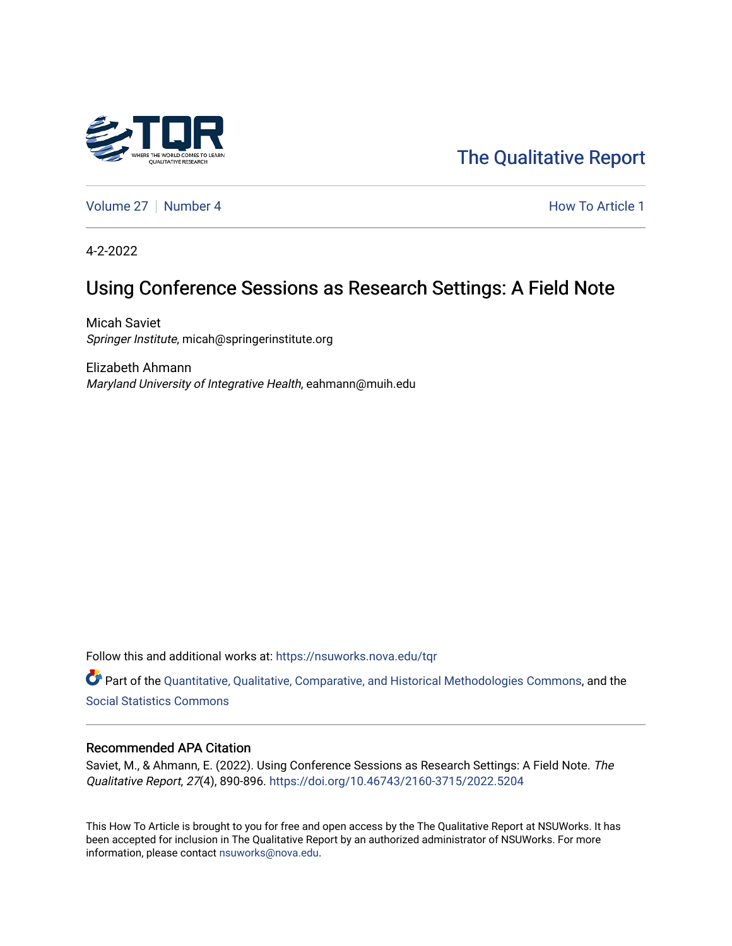

[The Qualitative Report](https://nsuworks.nova.edu/tqr) 

[Volume 27](https://nsuworks.nova.edu/tqr/vol27) | [Number 4](https://nsuworks.nova.edu/tqr/vol27/iss4) **How To Article 1** How To Article 1

4-2-2022

# Using Conference Sessions as Research Settings: A Field Note

Micah Saviet Springer Institute, micah@springerinstitute.org

Elizabeth Ahmann Maryland University of Integrative Health, eahmann@muih.edu

Follow this and additional works at: [https://nsuworks.nova.edu/tqr](https://nsuworks.nova.edu/tqr?utm_source=nsuworks.nova.edu%2Ftqr%2Fvol27%2Fiss4%2F1&utm_medium=PDF&utm_campaign=PDFCoverPages) 

Part of the [Quantitative, Qualitative, Comparative, and Historical Methodologies Commons,](http://network.bepress.com/hgg/discipline/423?utm_source=nsuworks.nova.edu%2Ftqr%2Fvol27%2Fiss4%2F1&utm_medium=PDF&utm_campaign=PDFCoverPages) and the [Social Statistics Commons](http://network.bepress.com/hgg/discipline/1275?utm_source=nsuworks.nova.edu%2Ftqr%2Fvol27%2Fiss4%2F1&utm_medium=PDF&utm_campaign=PDFCoverPages) 

#### Recommended APA Citation

Saviet, M., & Ahmann, E. (2022). Using Conference Sessions as Research Settings: A Field Note. The Qualitative Report, 27(4), 890-896.<https://doi.org/10.46743/2160-3715/2022.5204>

This How To Article is brought to you for free and open access by the The Qualitative Report at NSUWorks. It has been accepted for inclusion in The Qualitative Report by an authorized administrator of NSUWorks. For more information, please contact [nsuworks@nova.edu.](mailto:nsuworks@nova.edu)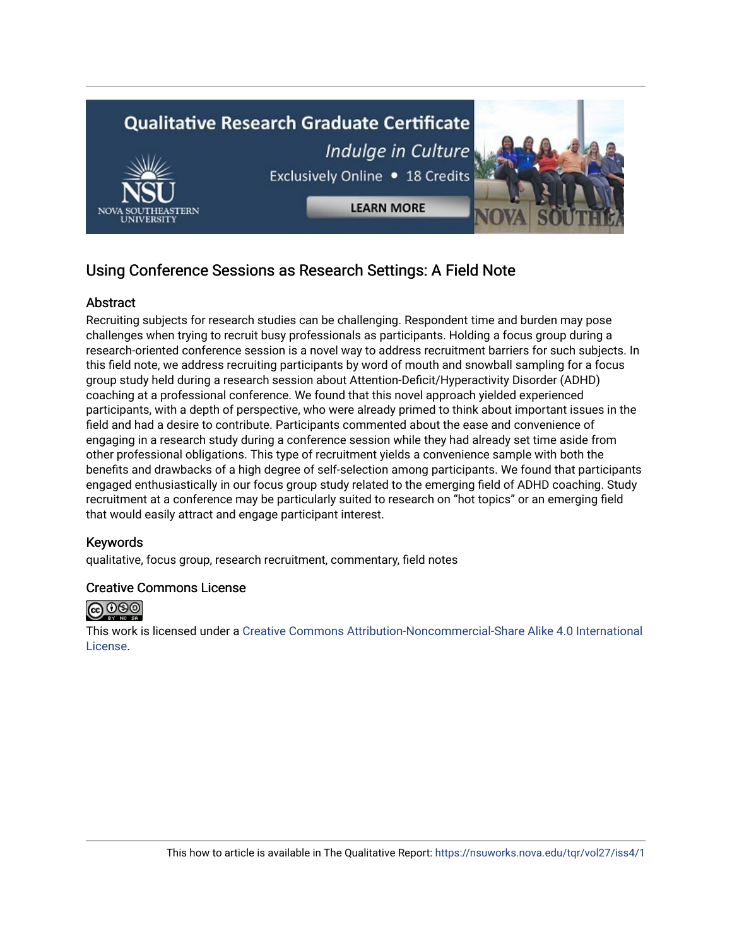

# Using Conference Sessions as Research Settings: A Field Note

## Abstract

Recruiting subjects for research studies can be challenging. Respondent time and burden may pose challenges when trying to recruit busy professionals as participants. Holding a focus group during a research-oriented conference session is a novel way to address recruitment barriers for such subjects. In this field note, we address recruiting participants by word of mouth and snowball sampling for a focus group study held during a research session about Attention-Deficit/Hyperactivity Disorder (ADHD) coaching at a professional conference. We found that this novel approach yielded experienced participants, with a depth of perspective, who were already primed to think about important issues in the field and had a desire to contribute. Participants commented about the ease and convenience of engaging in a research study during a conference session while they had already set time aside from other professional obligations. This type of recruitment yields a convenience sample with both the benefits and drawbacks of a high degree of self-selection among participants. We found that participants engaged enthusiastically in our focus group study related to the emerging field of ADHD coaching. Study recruitment at a conference may be particularly suited to research on "hot topics" or an emerging field that would easily attract and engage participant interest.

### Keywords

qualitative, focus group, research recruitment, commentary, field notes

### Creative Commons License



This work is licensed under a [Creative Commons Attribution-Noncommercial-Share Alike 4.0 International](https://creativecommons.org/licenses/by-nc-sa/4.0/)  [License](https://creativecommons.org/licenses/by-nc-sa/4.0/).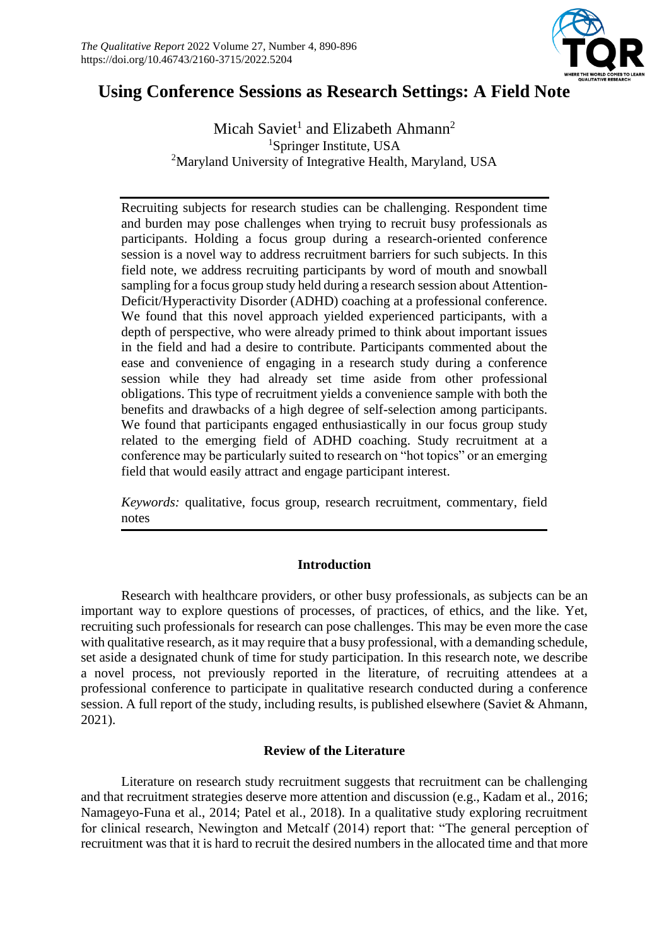

# **Using Conference Sessions as Research Settings: A Field Note**

Micah Saviet<sup>1</sup> and Elizabeth Ahmann<sup>2</sup> <sup>1</sup>Springer Institute, USA <sup>2</sup>Maryland University of Integrative Health, Maryland, USA

Recruiting subjects for research studies can be challenging. Respondent time and burden may pose challenges when trying to recruit busy professionals as participants. Holding a focus group during a research-oriented conference session is a novel way to address recruitment barriers for such subjects. In this field note, we address recruiting participants by word of mouth and snowball sampling for a focus group study held during a research session about Attention-Deficit/Hyperactivity Disorder (ADHD) coaching at a professional conference. We found that this novel approach yielded experienced participants, with a depth of perspective, who were already primed to think about important issues in the field and had a desire to contribute. Participants commented about the ease and convenience of engaging in a research study during a conference session while they had already set time aside from other professional obligations. This type of recruitment yields a convenience sample with both the benefits and drawbacks of a high degree of self-selection among participants. We found that participants engaged enthusiastically in our focus group study related to the emerging field of ADHD coaching. Study recruitment at a conference may be particularly suited to research on "hot topics" or an emerging field that would easily attract and engage participant interest.

*Keywords:* qualitative, focus group, research recruitment, commentary, field notes

## **Introduction**

Research with healthcare providers, or other busy professionals, as subjects can be an important way to explore questions of processes, of practices, of ethics, and the like. Yet, recruiting such professionals for research can pose challenges. This may be even more the case with qualitative research, as it may require that a busy professional, with a demanding schedule, set aside a designated chunk of time for study participation. In this research note, we describe a novel process, not previously reported in the literature, of recruiting attendees at a professional conference to participate in qualitative research conducted during a conference session. A full report of the study, including results, is published elsewhere (Saviet & Ahmann, 2021).

## **Review of the Literature**

Literature on research study recruitment suggests that recruitment can be challenging and that recruitment strategies deserve more attention and discussion (e.g., Kadam et al., 2016; Namageyo-Funa et al., 2014; Patel et al., 2018). In a qualitative study exploring recruitment for clinical research, Newington and Metcalf (2014) report that: "The general perception of recruitment was that it is hard to recruit the desired numbers in the allocated time and that more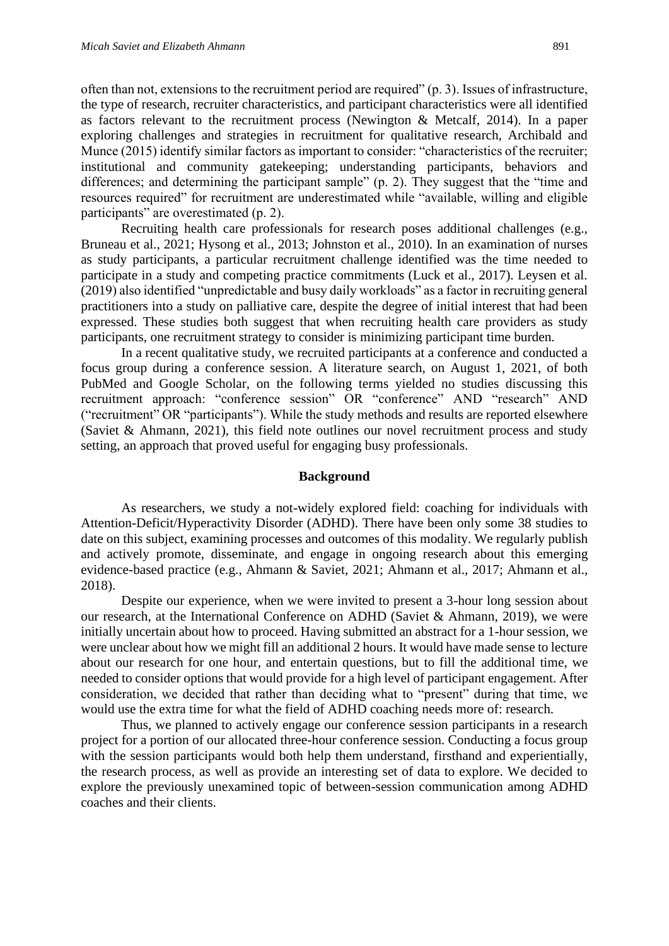often than not, extensions to the recruitment period are required" (p. 3). Issues of infrastructure, the type of research, recruiter characteristics, and participant characteristics were all identified as factors relevant to the recruitment process (Newington & Metcalf, 2014). In a paper exploring challenges and strategies in recruitment for qualitative research, Archibald and Munce (2015) identify similar factors as important to consider: "characteristics of the recruiter; institutional and community gatekeeping; understanding participants, behaviors and differences; and determining the participant sample" (p. 2). They suggest that the "time and resources required" for recruitment are underestimated while "available, willing and eligible participants" are overestimated (p. 2).

Recruiting health care professionals for research poses additional challenges (e.g., Bruneau et al., 2021; Hysong et al., 2013; Johnston et al., 2010). In an examination of nurses as study participants, a particular recruitment challenge identified was the time needed to participate in a study and competing practice commitments (Luck et al., 2017). Leysen et al. (2019) also identified "unpredictable and busy daily workloads" as a factor in recruiting general practitioners into a study on palliative care, despite the degree of initial interest that had been expressed. These studies both suggest that when recruiting health care providers as study participants, one recruitment strategy to consider is minimizing participant time burden.

In a recent qualitative study, we recruited participants at a conference and conducted a focus group during a conference session. A literature search, on August 1, 2021, of both PubMed and Google Scholar, on the following terms yielded no studies discussing this recruitment approach: "conference session" OR "conference" AND "research" AND ("recruitment" OR "participants"). While the study methods and results are reported elsewhere (Saviet & Ahmann, 2021), this field note outlines our novel recruitment process and study setting, an approach that proved useful for engaging busy professionals.

#### **Background**

As researchers, we study a not-widely explored field: coaching for individuals with Attention-Deficit/Hyperactivity Disorder (ADHD). There have been only some 38 studies to date on this subject, examining processes and outcomes of this modality. We regularly publish and actively promote, disseminate, and engage in ongoing research about this emerging evidence-based practice (e.g., Ahmann & Saviet, 2021; Ahmann et al., 2017; Ahmann et al., 2018).

Despite our experience, when we were invited to present a 3-hour long session about our research, at the International Conference on ADHD (Saviet & Ahmann, 2019), we were initially uncertain about how to proceed. Having submitted an abstract for a 1-hour session, we were unclear about how we might fill an additional 2 hours. It would have made sense to lecture about our research for one hour, and entertain questions, but to fill the additional time, we needed to consider options that would provide for a high level of participant engagement. After consideration, we decided that rather than deciding what to "present" during that time, we would use the extra time for what the field of ADHD coaching needs more of: research.

Thus, we planned to actively engage our conference session participants in a research project for a portion of our allocated three-hour conference session. Conducting a focus group with the session participants would both help them understand, firsthand and experientially, the research process, as well as provide an interesting set of data to explore. We decided to explore the previously unexamined topic of between-session communication among ADHD coaches and their clients.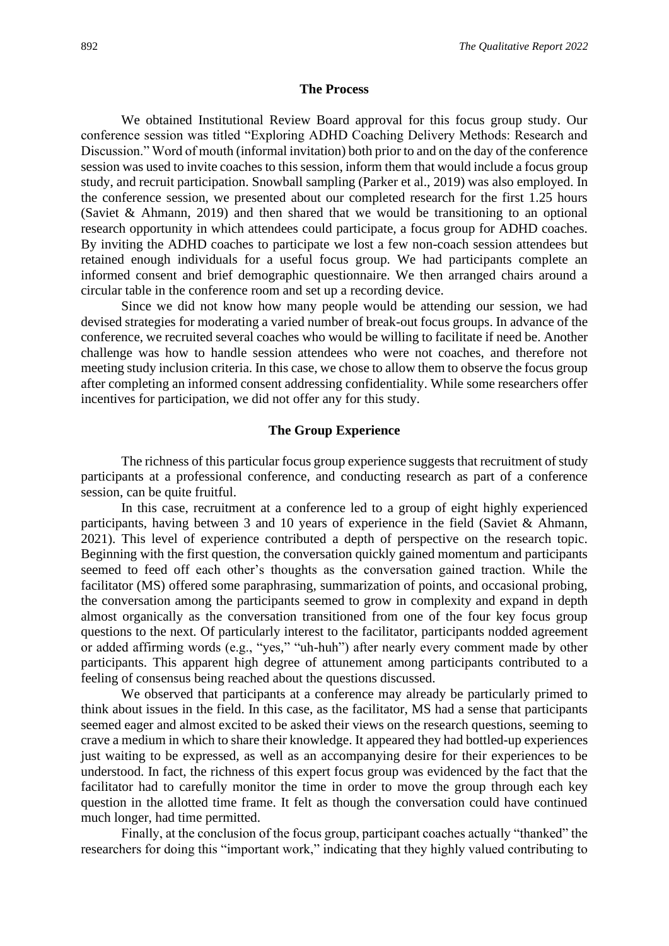#### **The Process**

We obtained Institutional Review Board approval for this focus group study. Our conference session was titled "Exploring ADHD Coaching Delivery Methods: Research and Discussion." Word of mouth (informal invitation) both prior to and on the day of the conference session was used to invite coaches to this session, inform them that would include a focus group study, and recruit participation. Snowball sampling (Parker et al., 2019) was also employed. In the conference session, we presented about our completed research for the first 1.25 hours (Saviet & Ahmann, 2019) and then shared that we would be transitioning to an optional research opportunity in which attendees could participate, a focus group for ADHD coaches. By inviting the ADHD coaches to participate we lost a few non-coach session attendees but retained enough individuals for a useful focus group. We had participants complete an informed consent and brief demographic questionnaire. We then arranged chairs around a circular table in the conference room and set up a recording device.

Since we did not know how many people would be attending our session, we had devised strategies for moderating a varied number of break-out focus groups. In advance of the conference, we recruited several coaches who would be willing to facilitate if need be. Another challenge was how to handle session attendees who were not coaches, and therefore not meeting study inclusion criteria. In this case, we chose to allow them to observe the focus group after completing an informed consent addressing confidentiality. While some researchers offer incentives for participation, we did not offer any for this study.

#### **The Group Experience**

The richness of this particular focus group experience suggests that recruitment of study participants at a professional conference, and conducting research as part of a conference session, can be quite fruitful.

In this case, recruitment at a conference led to a group of eight highly experienced participants, having between 3 and 10 years of experience in the field (Saviet & Ahmann, 2021). This level of experience contributed a depth of perspective on the research topic. Beginning with the first question, the conversation quickly gained momentum and participants seemed to feed off each other's thoughts as the conversation gained traction. While the facilitator (MS) offered some paraphrasing, summarization of points, and occasional probing, the conversation among the participants seemed to grow in complexity and expand in depth almost organically as the conversation transitioned from one of the four key focus group questions to the next. Of particularly interest to the facilitator, participants nodded agreement or added affirming words (e.g., "yes," "uh-huh") after nearly every comment made by other participants. This apparent high degree of attunement among participants contributed to a feeling of consensus being reached about the questions discussed.

We observed that participants at a conference may already be particularly primed to think about issues in the field. In this case, as the facilitator, MS had a sense that participants seemed eager and almost excited to be asked their views on the research questions, seeming to crave a medium in which to share their knowledge. It appeared they had bottled-up experiences just waiting to be expressed, as well as an accompanying desire for their experiences to be understood. In fact, the richness of this expert focus group was evidenced by the fact that the facilitator had to carefully monitor the time in order to move the group through each key question in the allotted time frame. It felt as though the conversation could have continued much longer, had time permitted.

Finally, at the conclusion of the focus group, participant coaches actually "thanked" the researchers for doing this "important work," indicating that they highly valued contributing to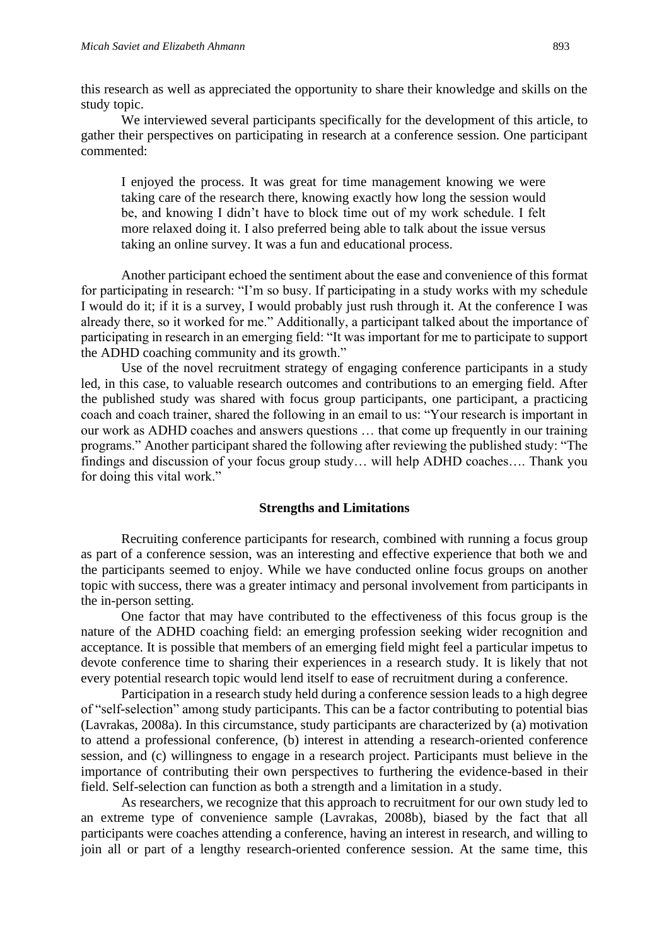this research as well as appreciated the opportunity to share their knowledge and skills on the study topic.

We interviewed several participants specifically for the development of this article, to gather their perspectives on participating in research at a conference session. One participant commented:

I enjoyed the process. It was great for time management knowing we were taking care of the research there, knowing exactly how long the session would be, and knowing I didn't have to block time out of my work schedule. I felt more relaxed doing it. I also preferred being able to talk about the issue versus taking an online survey. It was a fun and educational process.

Another participant echoed the sentiment about the ease and convenience of this format for participating in research: "I'm so busy. If participating in a study works with my schedule I would do it; if it is a survey, I would probably just rush through it. At the conference I was already there, so it worked for me." Additionally, a participant talked about the importance of participating in research in an emerging field: "It was important for me to participate to support the ADHD coaching community and its growth."

Use of the novel recruitment strategy of engaging conference participants in a study led, in this case, to valuable research outcomes and contributions to an emerging field. After the published study was shared with focus group participants, one participant, a practicing coach and coach trainer, shared the following in an email to us: "Your research is important in our work as ADHD coaches and answers questions … that come up frequently in our training programs." Another participant shared the following after reviewing the published study: "The findings and discussion of your focus group study… will help ADHD coaches…. Thank you for doing this vital work."

#### **Strengths and Limitations**

Recruiting conference participants for research, combined with running a focus group as part of a conference session, was an interesting and effective experience that both we and the participants seemed to enjoy. While we have conducted online focus groups on another topic with success, there was a greater intimacy and personal involvement from participants in the in-person setting.

One factor that may have contributed to the effectiveness of this focus group is the nature of the ADHD coaching field: an emerging profession seeking wider recognition and acceptance. It is possible that members of an emerging field might feel a particular impetus to devote conference time to sharing their experiences in a research study. It is likely that not every potential research topic would lend itself to ease of recruitment during a conference.

Participation in a research study held during a conference session leads to a high degree of "self-selection" among study participants. This can be a factor contributing to potential bias (Lavrakas, 2008a). In this circumstance, study participants are characterized by (a) motivation to attend a professional conference, (b) interest in attending a research-oriented conference session, and (c) willingness to engage in a research project. Participants must believe in the importance of contributing their own perspectives to furthering the evidence-based in their field. Self-selection can function as both a strength and a limitation in a study.

As researchers, we recognize that this approach to recruitment for our own study led to an extreme type of convenience sample (Lavrakas, 2008b), biased by the fact that all participants were coaches attending a conference, having an interest in research, and willing to join all or part of a lengthy research-oriented conference session. At the same time, this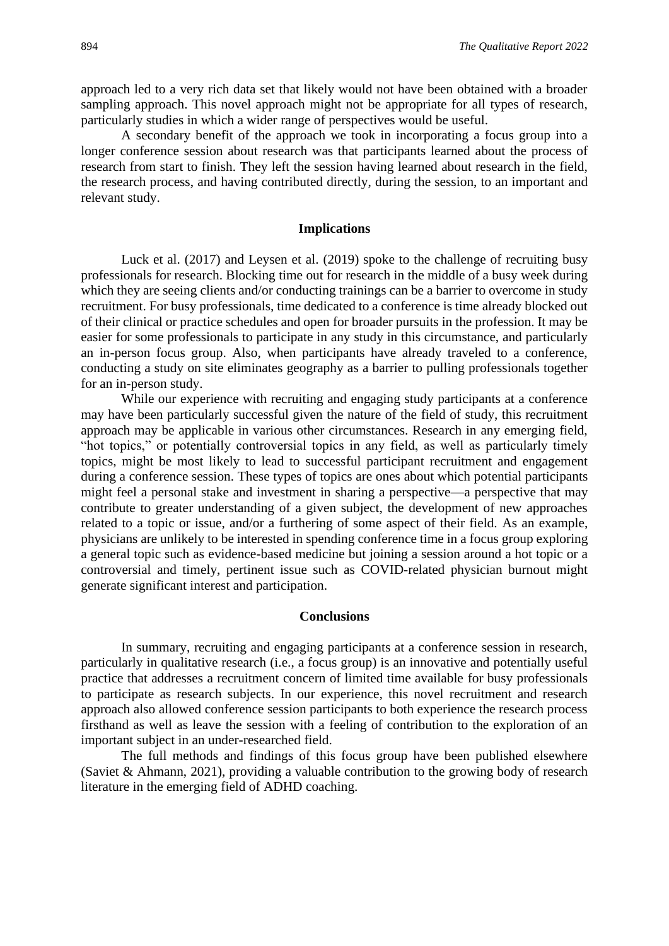approach led to a very rich data set that likely would not have been obtained with a broader sampling approach. This novel approach might not be appropriate for all types of research, particularly studies in which a wider range of perspectives would be useful.

A secondary benefit of the approach we took in incorporating a focus group into a longer conference session about research was that participants learned about the process of research from start to finish. They left the session having learned about research in the field, the research process, and having contributed directly, during the session, to an important and relevant study.

### **Implications**

Luck et al. (2017) and Leysen et al. (2019) spoke to the challenge of recruiting busy professionals for research. Blocking time out for research in the middle of a busy week during which they are seeing clients and/or conducting trainings can be a barrier to overcome in study recruitment. For busy professionals, time dedicated to a conference is time already blocked out of their clinical or practice schedules and open for broader pursuits in the profession. It may be easier for some professionals to participate in any study in this circumstance, and particularly an in-person focus group. Also, when participants have already traveled to a conference, conducting a study on site eliminates geography as a barrier to pulling professionals together for an in-person study.

While our experience with recruiting and engaging study participants at a conference may have been particularly successful given the nature of the field of study, this recruitment approach may be applicable in various other circumstances. Research in any emerging field, "hot topics," or potentially controversial topics in any field, as well as particularly timely topics, might be most likely to lead to successful participant recruitment and engagement during a conference session. These types of topics are ones about which potential participants might feel a personal stake and investment in sharing a perspective—a perspective that may contribute to greater understanding of a given subject, the development of new approaches related to a topic or issue, and/or a furthering of some aspect of their field. As an example, physicians are unlikely to be interested in spending conference time in a focus group exploring a general topic such as evidence-based medicine but joining a session around a hot topic or a controversial and timely, pertinent issue such as COVID-related physician burnout might generate significant interest and participation.

#### **Conclusions**

In summary, recruiting and engaging participants at a conference session in research, particularly in qualitative research (i.e., a focus group) is an innovative and potentially useful practice that addresses a recruitment concern of limited time available for busy professionals to participate as research subjects. In our experience, this novel recruitment and research approach also allowed conference session participants to both experience the research process firsthand as well as leave the session with a feeling of contribution to the exploration of an important subject in an under-researched field.

The full methods and findings of this focus group have been published elsewhere (Saviet & Ahmann, 2021), providing a valuable contribution to the growing body of research literature in the emerging field of ADHD coaching.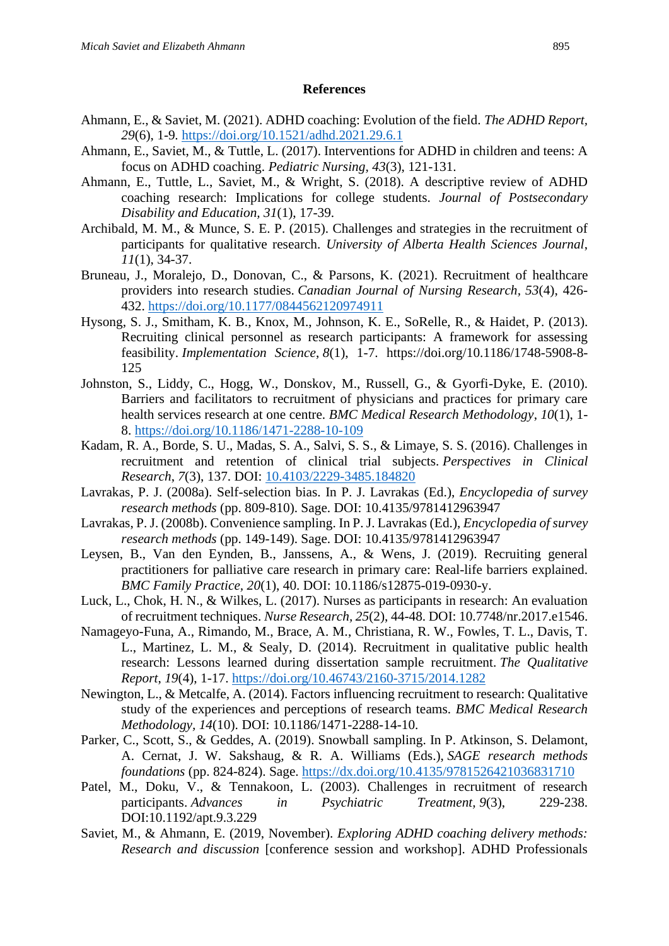#### **References**

- Ahmann, E., & Saviet, M. (2021). ADHD coaching: Evolution of the field. *The ADHD Report, 29*(6), 1-9*.* <https://doi.org/10.1521/adhd.2021.29.6.1>
- Ahmann, E., Saviet, M., & Tuttle, L. (2017). Interventions for ADHD in children and teens: A focus on ADHD coaching. *Pediatric Nursing, 43*(3), 121-131.
- Ahmann, E., Tuttle, L., Saviet, M., & Wright, S. (2018). A descriptive review of ADHD coaching research: Implications for college students. *Journal of Postsecondary Disability and Education, 31*(1), 17-39.
- Archibald, M. M., & Munce, S. E. P. (2015). Challenges and strategies in the recruitment of participants for qualitative research. *University of Alberta Health Sciences Journal*, *11*(1), 34-37.
- Bruneau, J., Moralejo, D., Donovan, C., & Parsons, K. (2021). Recruitment of healthcare providers into research studies. *Canadian Journal of Nursing Research, 53*(4), 426- 432. [https://doi.org/10.1177/0844562120974911](https://doi.org/10.1177%2F0844562120974911)
- Hysong, S. J., Smitham, K. B., Knox, M., Johnson, K. E., SoRelle, R., & Haidet, P. (2013). Recruiting clinical personnel as research participants: A framework for assessing feasibility. *Implementation Science*, *8*(1), 1-7. https://doi.org/10.1186/1748-5908-8- 125
- Johnston, S., Liddy, C., Hogg, W., Donskov, M., Russell, G., & Gyorfi-Dyke, E. (2010). Barriers and facilitators to recruitment of physicians and practices for primary care health services research at one centre. *BMC Medical Research Methodology*, *10*(1), 1- 8.<https://doi.org/10.1186/1471-2288-10-109>
- Kadam, R. A., Borde, S. U., Madas, S. A., Salvi, S. S., & Limaye, S. S. (2016). Challenges in recruitment and retention of clinical trial subjects. *Perspectives in Clinical Research*, *7*(3), 137. DOI: [10.4103/2229-3485.184820](https://dx.doi.org/10.4103%2F2229-3485.184820)
- Lavrakas, P. J. (2008a). Self-selection bias. In P. J. Lavrakas (Ed.), *Encyclopedia of survey research methods* (pp. 809-810). Sage. DOI: 10.4135/9781412963947
- Lavrakas, P. J. (2008b). Convenience sampling. In P. J. Lavrakas (Ed.), *Encyclopedia of survey research methods* (pp. 149-149). Sage. DOI: 10.4135/9781412963947
- Leysen, B., Van den Eynden, B., Janssens, A., & Wens, J. (2019). Recruiting general practitioners for palliative care research in primary care: Real-life barriers explained. *BMC Family Practice, 20*(1), 40. DOI: 10.1186/s12875-019-0930-y.
- Luck, L., Chok, H. N., & Wilkes, L. (2017). Nurses as participants in research: An evaluation of recruitment techniques. *Nurse Research, 25*(2), 44-48. DOI: 10.7748/nr.2017.e1546.
- Namageyo-Funa, A., Rimando, M., Brace, A. M., Christiana, R. W., Fowles, T. L., Davis, T. L., Martinez, L. M., & Sealy, D. (2014). Recruitment in qualitative public health research: Lessons learned during dissertation sample recruitment. *The Qualitative Report*, *19*(4), 1-17. <https://doi.org/10.46743/2160-3715/2014.1282>
- Newington, L., & Metcalfe, A. (2014). Factors influencing recruitment to research: Qualitative study of the experiences and perceptions of research teams. *BMC Medical Research Methodology, 14*(10). DOI: 10.1186/1471-2288-14-10.
- Parker, C., Scott, S., & Geddes, A. (2019). Snowball sampling. In P. Atkinson, S. Delamont, A. Cernat, J. W. Sakshaug, & R. A. Williams (Eds.), *SAGE research methods foundations* (pp. 824-824). Sage. <https://dx.doi.org/10.4135/9781526421036831710>
- Patel, M., Doku, V., & Tennakoon, L. (2003). Challenges in recruitment of research participants. *Advances in Psychiatric Treatment, 9*(3), 229-238. DOI:10.1192/apt.9.3.229
- Saviet, M., & Ahmann, E. (2019, November). *Exploring ADHD coaching delivery methods: Research and discussion* [conference session and workshop]. ADHD Professionals